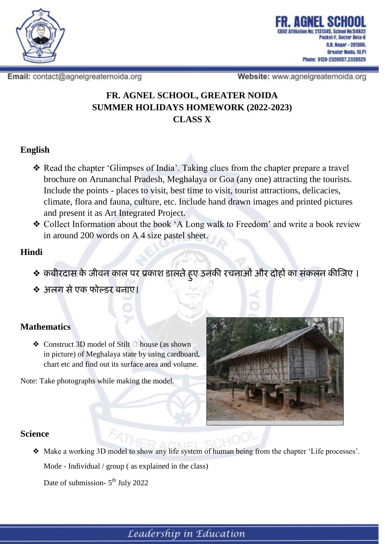

Email: contact@agnelgreaternoida.org

Website: www.agnelgreaternoida.org

## **FR. AGNEL SCHOOL, GREATER NOIDA SUMMER HOLIDAYS HOMEWORK (2022-2023) CLASS X**

### **English**

- ❖ Read the chapter 'Glimpses of India'. Taking clues from the chapter prepare a travel brochure on Arunanchal Pradesh, Meghalaya or Goa (any one) attracting the tourists. Include the points - places to visit, best time to visit, tourist attractions, delicacies, climate, flora and fauna, culture, etc. Include hand drawn images and printed pictures and present it as Art Integrated Project.
- ❖ Collect Information about the book 'A Long walk to Freedom' and write a book review in around 200 words on A 4 size pastel sheet.

### **Hindi**

- ❖ **कबीरदास के जीवन काल पर प्रकाश डालतेहु ए उनकी रचनाओंऔर दोहों का संकलन कीजजए ।**
- ❖ **अलग सेएक फोल्डर बनाए।**

#### **Mathematics**

◆ Construct 3D model of Stilt  $□$  house (as shown in picture) of Meghalaya state by using cardboard, chart etc and find out its surface area and volume.

Note: Take photographs while making the model.



#### **Science**

❖ Make a working 3D model to show any life system of human being from the chapter 'Life processes'. Mode - Individual / group ( as explained in the class)

Date of submission- 5<sup>th</sup> July 2022